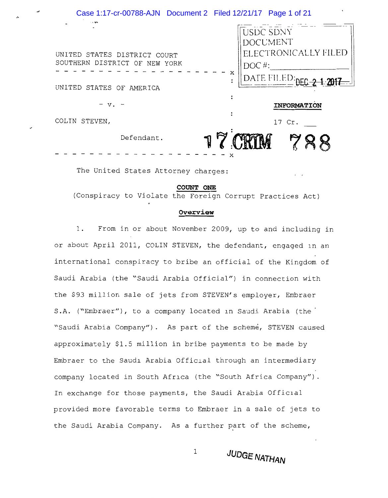# Case 1:17-cr-00788-AJN Document 2 Filed 12/21/17 Page 1 of 21 USDC SDNY **DOCUMENT** ELECTRONICALLY FILED UNITED STATES DISTRICT COURT SOUTHERN DISTRICT OF NEW YORK DOC #: X DATE FILED:<sub>nee</sub> UNITED STATES OF AMERICA  $\ddot{\cdot}$  $- v. -$ INFORMATION COLIN STEVEN, 17 Cr. Defendant.

The United States Attorney charges:

### COUNT ONE

(Conspiracy to Violate the Foreign Corrupt Practices Act)

### Overview

 $1$ . From in or about November 2009, up to and including in or about April 2011, COLIN STEVEN, the defendant, engaged in an international conspiracy to bribe an official of the Kingdom of Saudi Arabia (the "Saudi Arabia Official") in connection with the \$93 million sale of jets from STEVEN's employer, Embraer S.A. ("Embraer"), to a company located in Saudi Arabia (the "Saudi Arabia Company"). As part of the scheme, STEVEN caused approximately \$1.5 million in bribe payments to be made by Embraer to the Saudi Arabia Official through an intermediary company located in South Africa (the "South Africa Company"). In exchange for those payments, the Saudi Arabia Official provided more favorable terms to Embraer in a sale of jets to the Saudi Arabia Company. As a further part of the scheme,

 $\mathbf 1$ 

**JUDGE NATHAN**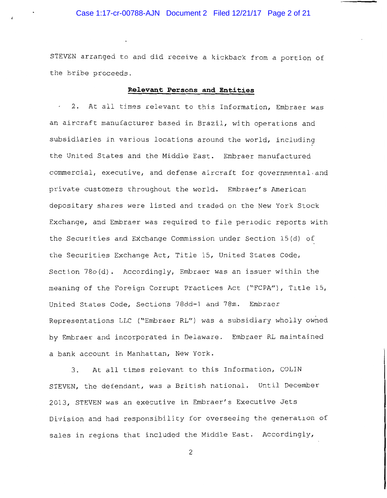# Case 1:17-cr-00788-AJN Document 2 Filed 12/21/17 Page 2 of 21

STEVEN arranged to and did receive a kickback from a portion of the bribe proceeds.

## Relevant Persons and Entities

. 2. At all times relevant to this Information, Embraer was an aircraft manufacturer based in Brazil, with operations and subsidiaries in various locations around the world, including the United States and the Middle East. Embraer manufactured commercial, executive, and defense aircraft for governmental and private customers throughout the world. Embraer's American depositary shares were listed and traded on the New York Stock Exchange, and Embraer was required to file periodic reports with the Securities and Exchange Commission under Section 15(d) of the Securities Exchange Act, Title 15, United States Code, Section 78o(d). Accordingly, Embraer was an issuer within the meaning of the Foreign Corrupt Practices Act ("FCPA"), Title 15, United States Code, Sections 78dd-1 and 78m. Embraer Representations LLC ("Embraer RL") was a subsidiary wholly owned by Embraer and incorporated in Delaware. Embraer RL maintained a bank account in Manhattan, New York.

At all times relevant to this Information, COLIN  $3.$ STEVEN, the defendant, was a British national. Until December 2013, STEVEN was an executive in Embraer's Executive Jets Division and had responsibility for overseeing the generation of sales in regions that included the Middle East. Accordingly,

 $\overline{c}$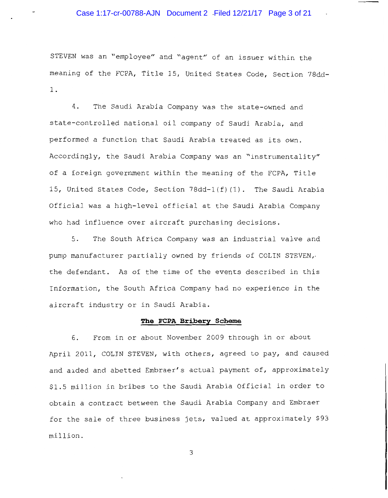STEVEN was an "employee" and "agent" of an issuer within the meaning of the FCPA, Title 15, United States Code, Section 78dd- $1$  .

The Saudi Arabia Company was the state-owned and 4. state-controlled national oil company of Saudi Arabia, and performed a function that Saudi Arabia treated as its own. Accordingly, the Saudi Arabia Company was an "instrumentality" of a foreign government within the meaning of the FCPA, Title 15, United States Code, Section 78dd-1(f)(1). The Saudi Arabia Official was a high-level official at the Saudi Arabia Company who had influence over aircraft purchasing decisions.

 $5.$ The South Africa Company was an industrial valve and pump manufacturer partially owned by friends of COLIN STEVEN, the defendant. As of the time of the events described in this Information, the South Africa Company had no experience in the aircraft industry or in Saudi Arabia.

## The FCPA Bribery Scheme

6. From in or about November 2009 through in or about April 2011, COLIN STEVEN, with others, agreed to pay, and caused and aided and abetted Embraer's actual payment of, approximately \$1.5 million in bribes to the Saudi Arabia Official in order to obtain a contract between the Saudi Arabia Company and Embraer for the sale of three business jets, valued at approximately \$93 million.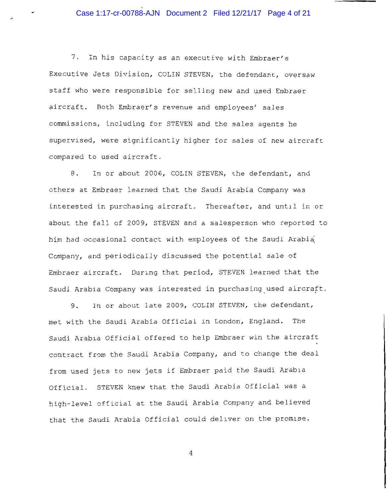Case 1:17-cr-00788-AJN Document 2 Filed 12/21/17 Page 4 of 21

7. In his capacity as an executive with Embraer's Executive Jets Division, COLIN STEVEN, the defendant, oversaw staff who were responsible for selling new and used Embraer aircraft. Both Embraer's revenue and employees' sales commissions, including for STEVEN and the sales agents he supervised, were significantly higher for sales of new aircraft compared to used aircraft.

8. In or about 2006, COLIN STEVEN, the defendant, and others at Embraer learned that the Saudi Arabia Company was interested in purchasing aircraft. Thereafter, and until in or about the fall of 2009, STEVEN and a salesperson who reported to him had occasional contact with employees of the Saudi Arabia Company, and periodically discussed the potential sale of Embraer aircraft. During that period, STEVEN learned that the Saudi Arabia Company was interested in purchasing used aircraft.

In or about late 2009, COLIN STEVEN, the defendant, 9. met with the Saudi Arabia Official in London, England. The Saudi Arabia Official offered to help Embraer win the aircraft contract from the Saudi Arabia Company, and to change the deal from used jets to new jets if Embraer paid the Saudi Arabia Official. STEVEN knew that the Saudi Arabia Official was a high-level official at the Saudi Arabia Company and believed that the Saudi Arabia Official could deliver on the promise.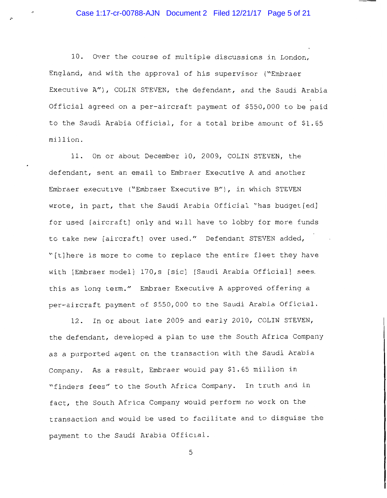10. Over the course of multiple discussions in London, England, and with the approval of his supervisor ("Embraer Executive A"), COLIN STEVEN, the defendant, and the Saudi Arabia Official agreed on a per-aircraft payment of \$550,000 to be paid to the Saudi Arabia Official, for a total bribe amount of \$1.65 million.

11. On or about December 10, 2009, COLIN STEVEN, the defendant, sent an email to Embraer Executive A and another Embraer executive ("Embraer Executive B"), in which STEVEN wrote, in part, that the Saudi Arabia Official "has budget [ed] for used [aircraft] only and will have to lobby for more funds to take new [aircraft] over used." Defendant STEVEN added, "[t]here is more to come to replace the entire fleet they have with [Embraer model] 170,s [sic] [Saudi Arabia Official] sees. this as long term." Embraer Executive A approved offering a per-aircraft payment of \$550,000 to the Saudi Arabia Official.

12. In or about late 2009 and early 2010, COLIN STEVEN, the defendant, developed a plan to use the South Africa Company as a purported agent on the transaction with the Saudi Arabia Company. As a result, Embraer would pay \$1.65 million in "finders fees" to the South Africa Company. In truth and in fact, the South Africa Company would perform no work on the transaction and would be used to facilitate and to disguise the payment to the Saudi Arabia Official.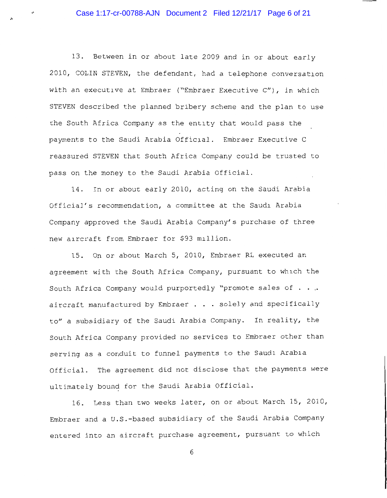13. Between in or about late 2009 and in or about early 2010, COLIN STEVEN, the defendant, had a telephone conversation with an executive at Embraer ("Embraer Executive C"), in which STEVEN described the planned bribery scheme and the plan to use the South Africa Company as the entity that would pass the payments to the Saudi Arabia Official. Embraer Executive C reassured STEVEN that South Africa Company could be trusted to pass on the money to the Saudi Arabia Official.

14. In or about early 2010, acting on the Saudi Arabia Official's recommendation, a committee at the Saudi Arabia Company approved the Saudi Arabia Company's purchase of three new aircraft from Embraer for \$93 million.

15. On or about March 5, 2010, Embraer RL executed an agreement with the South Africa Company, pursuant to which the South Africa Company would purportedly "promote sales of . . . aircraft manufactured by Embraer . . . solely and specifically to" a subsidiary of the Saudi Arabia Company. In reality, the South Africa Company provided no services to Embraer other than serving as a conduit to funnel payments to the Saudi Arabia Official. The agreement did not disclose that the payments were ultimately bound for the Saudi Arabia Official.

16. Less than two weeks later, on or about March 15, 2010, Embraer and a U.S.-based subsidiary of the Saudi Arabia Company entered into an aircraft purchase agreement, pursuant to which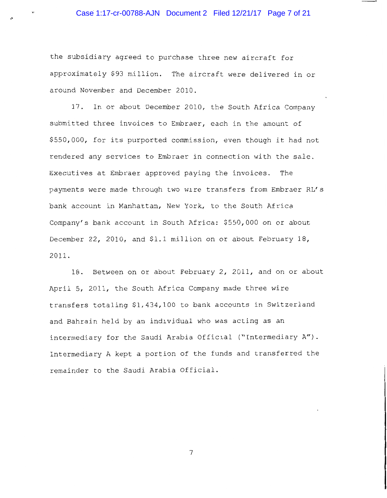the subsidiary agreed to purchase three new aircraft for approximately \$93 million. The aircraft were delivered in or around November and December 2010.

17. In or about December 2010, the South Africa Company submitted three invoices to Embraer, each in the amount of \$550,000, for its purported commission, even though it had not rendered any services to Embraer in connection with the sale. Executives at Embraer approved paying the invoices. The payments were made through two wire transfers from Embraer RL's bank account in Manhattan, New York, to the South Africa Company's bank account in South Africa: \$550,000 on or about December 22, 2010, and \$1.1 million on or about February 18, 2011.

18. Between on or about February 2, 2011, and on or about April 5, 2011, the South Africa Company made three wire transfers totaling \$1,434,100 to bank accounts in Switzerland and Bahrain held by an individual who was acting as an intermediary for the Saudi Arabia Official ("Intermediary A"). Intermediary A kept a portion of the funds and transferred the remainder to the Saudi Arabia Official.

 $\overline{7}$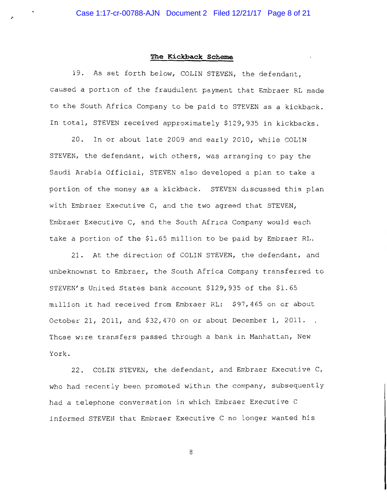## The Kickback Scheme

19. As set forth below, COLIN STEVEN, the defendant, caused a portion of the fraudulent payment that Embraer RL made to the South Africa Company to be paid to STEVEN as a kickback. In total, STEVEN received approximately \$129,935 in kickbacks.

20. In or about late 2009 and early 2010, while COLIN STEVEN, the defendant, with others, was arranging to pay the Saudi Arabia Official, STEVEN also developed a plan to take a portion of the money as a kickback. STEVEN discussed this plan with Embraer Executive C, and the two agreed that STEVEN, Embraer Executive C, and the South Africa Company would each take a portion of the \$1.65 million to be paid by Embraer RL.

21. At the direction of COLIN STEVEN, the defendant, and unbeknownst to Embraer, the South Africa Company transferred to STEVEN's United States bank account \$129,935 of the \$1.65 million it had received from Embraer RL: \$97,465 on or about October 21, 2011, and \$32,470 on or about December 1, 2011. Those wire transfers passed through a bank in Manhattan, New York.

22. COLIN STEVEN, the defendant, and Embraer Executive C, who had recently been promoted within the company, subsequently had a telephone conversation in which Embraer Executive C informed STEVEN that Embraer Executive C no longer wanted his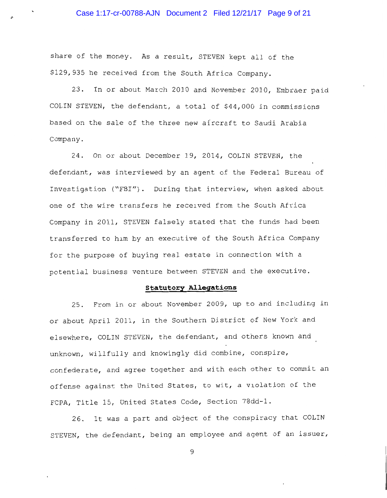## Case 1:17-cr-00788-AJN Document 2 Filed 12/21/17 Page 9 of 21

share of the money. As a result, STEVEN kept all of the \$129,935 he received from the South Africa Company.

23. In or about March 2010 and November 2010, Embraer paid COLIN STEVEN, the defendant, a total of \$44,000 in commissions based on the sale of the three new aircraft to Saudi Arabia Company.

24. On or about December 19, 2014, COLIN STEVEN, the defendant, was interviewed by an agent of the Federal Bureau of Investigation ("FBI"). During that interview, when asked about one of the wire transfers he received from the South Africa Company in 2011, STEVEN falsely stated that the funds had been transferred to him by an executive of the South Africa Company for the purpose of buying real estate in connection with a potential business venture between STEVEN and the executive.

### **Statutory Allegations**

25. From in or about November 2009, up to and including in or about April 2011, in the Southern District of New York and elsewhere, COLIN STEVEN, the defendant, and others known and unknown, willfully and knowingly did combine, conspire, confederate, and agree together and with each other to commit an offense against the United States, to wit, a violation of the FCPA, Title 15, United States Code, Section 78dd-1.

26. It was a part and object of the conspiracy that COLIN STEVEN, the defendant, being an employee and agent of an issuer,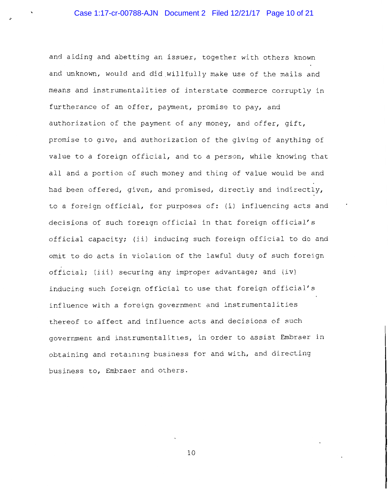and aiding and abetting an issuer, together with others known and unknown, would and did willfully make use of the mails and means and instrumentalities of interstate commerce corruptly in furtherance of an offer, payment, promise to pay, and authorization of the payment of any money, and offer, gift, promise to give, and authorization of the giving of anything of value to a foreign official, and to a person, while knowing that all and a portion of such money and thing of value would be and had been offered, given, and promised, directly and indirectly, to a foreign official, for purposes of: (i) influencing acts and decisions of such foreign official in that foreign official's official capacity; (ii) inducing such foreign official to do and omit to do acts in violation of the lawful duty of such foreign official; (iii) securing any improper advantage; and (iv) inducing such foreign official to use that foreign official's influence with a foreign government and instrumentalities thereof to affect and influence acts and decisions of such government and instrumentalities, in order to assist Embraer in obtaining and retaining business for and with, and directing business to, Embraer and others.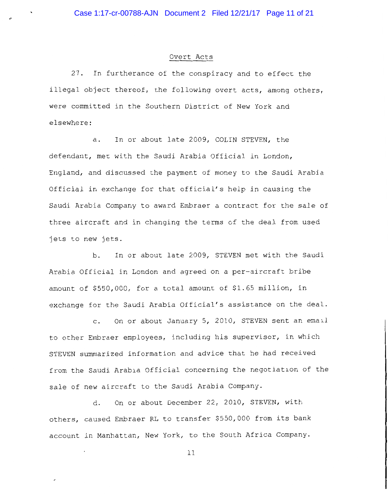## Overt Acts

27. In furtherance of the conspiracy and to effect the illegal object thereof, the following overt acts, among others, were committed in the Southern District of New York and elsewhere:

In or about late 2009, COLIN STEVEN, the а. defendant, met with the Saudi Arabia Official in London, England, and discussed the payment of money to the Saudi Arabia Official in exchange for that official's help in causing the Saudi Arabia Company to award Embraer a contract for the sale of three aircraft and in changing the terms of the deal from used jets to new jets.

In or about late 2009, STEVEN met with the Saudi b. Arabia Official in London and agreed on a per-aircraft bribe amount of \$550,000, for a total amount of \$1.65 million, in exchange for the Saudi Arabia Official's assistance on the deal.

On or about January 5, 2010, STEVEN sent an email  $\mathsf{C}$ . to other Embraer employees, including his supervisor, in which STEVEN summarized information and advice that he had received from the Saudi Arabia Official concerning the negotiation of the sale of new aircraft to the Saudi Arabia Company.

On or about December 22, 2010, STEVEN, with d. others, caused Embraer RL to transfer \$550,000 from its bank account in Manhattan, New York, to the South Africa Company.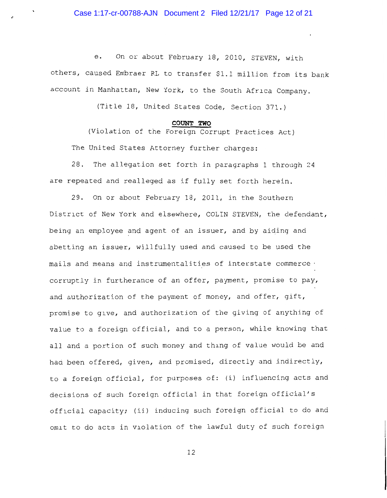Case 1:17-cr-00788-AJN Document 2 Filed 12/21/17 Page 12 of 21

On or about February 18, 2010, STEVEN, with е. others, caused Embraer RL to transfer \$1.1 million from its bank account in Manhattan, New York, to the South Africa Company.

(Title 18, United States Code, Section 371.)

### COUNT TWO

(Violation of the Foreign Corrupt Practices Act) The United States Attorney further charges:

28. The allegation set forth in paragraphs 1 through 24 are repeated and realleged as if fully set forth herein.

29. On or about February 18, 2011, in the Southern District of New York and elsewhere, COLIN STEVEN, the defendant, being an employee and agent of an issuer, and by aiding and abetting an issuer, willfully used and caused to be used the mails and means and instrumentalities of interstate commerce . corruptly in furtherance of an offer, payment, promise to pay, and authorization of the payment of money, and offer, gift, promise to give, and authorization of the giving of anything of value to a foreign official, and to a person, while knowing that all and a portion of such money and thing of value would be and had been offered, given, and promised, directly and indirectly, to a foreign official, for purposes of: (i) influencing acts and decisions of such foreign official in that foreign official's official capacity; (ii) inducing such foreign official to do and omit to do acts in violation of the lawful duty of such foreign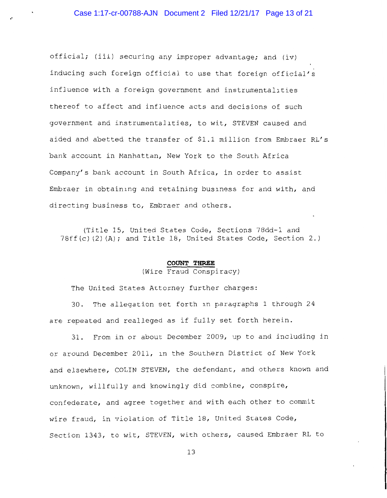official; (iii) securing any improper advantage; and (iv) inducing such foreign official to use that foreign official's influence with a foreign government and instrumentalities thereof to affect and influence acts and decisions of such government and instrumentalities, to wit, STEVEN caused and aided and abetted the transfer of \$1.1 million from Embraer RL's bank account in Manhattan, New York to the South Africa Company's bank account in South Africa, in order to assist Embraer in obtaining and retaining business for and with, and directing business to, Embraer and others.

(Title 15, United States Code, Sections 78dd-1 and 78ff(c)(2)(A); and Title 18, United States Code, Section 2.)

### COUNT THREE

 $(Wire$  Fraud Conspiracy)

The United States Attorney further charges:

The allegation set forth in paragraphs 1 through 24  $30.$ are repeated and realleged as if fully set forth herein.

 $31.$ From in or about December 2009, up to and including in or around December 2011, in the Southern District of New York and elsewhere, COLIN STEVEN, the defendant, and others known and unknown, willfully and knowingly did combine, conspire, confederate, and agree together and with each other to commit wire fraud, in violation of Title 18, United States Code, Section 1343, to wit, STEVEN, with others, caused Embraer RL to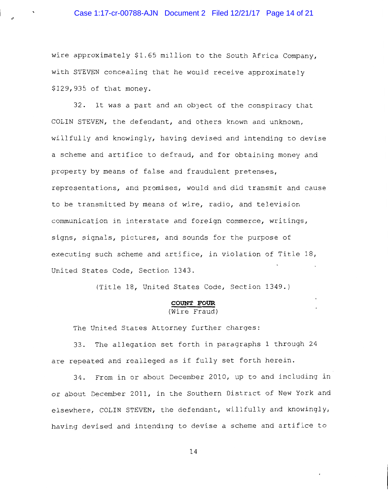wire approximately \$1.65 million to the South Africa Company, with STEVEN concealing that he would receive approximately \$129,935 of that money.

32. It was a part and an object of the conspiracy that COLIN STEVEN, the defendant, and others known and unknown, willfully and knowingly, having devised and intending to devise a scheme and artifice to defraud, and for obtaining money and property by means of false and fraudulent pretenses, representations, and promises, would and did transmit and cause to be transmitted by means of wire, radio, and television communication in interstate and foreign commerce, writings, signs, signals, pictures, and sounds for the purpose of executing such scheme and artifice, in violation of Title 18, United States Code, Section 1343.

(Title 18, United States Code, Section 1349.)

# **COUNT FOUR**<br>(Wire Fraud)

The United States Attorney further charges:

33. The allegation set forth in paragraphs 1 through 24 are repeated and realleged as if fully set forth herein.

34. From in or about December 2010, up to and including in or about December 2011, in the Southern District of New York and elsewhere, COLIN STEVEN, the defendant, willfully and knowingly, having devised and intending to devise a scheme and artifice to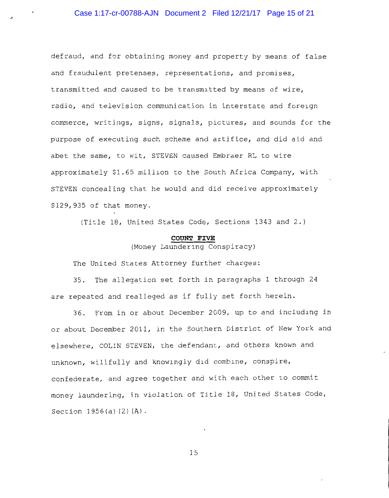defraud, and for obtaining money and property by means of false and fraudulent pretenses, representations, and promises, transmitted and caused to be transmitted by means of wire, radio, and television communication in interstate and foreign commerce, writings, signs, signals, pictures, and sounds for the purpose of executing such scheme and artifice, and did aid and abet the same, to wit, STEVEN caused Embraer RL to wire approximately \$1.65 million to the South Africa Company, with STEVEN concealing that he would and did receive approximately \$129,935 of that money.

(Title 18, United States Code, Sections 1343 and 2.)

### COUNT FIVE

(Money Laundering Conspiracy)

The United States Attorney further charges:

35. The allegation set forth in paragraphs 1 through 24 are repeated and realleged as if fully set forth herein.

36. From in or about December 2009, up to and including in or about December 2011, in the Southern District of New York and elsewhere, COLIN STEVEN, the defendant, and others known and unknown, willfully and knowingly did combine, conspire, confederate, and agree together and with each other to commit money laundering, in violation of Title 18, United States Code, Section  $1956(a) (2) (A)$ .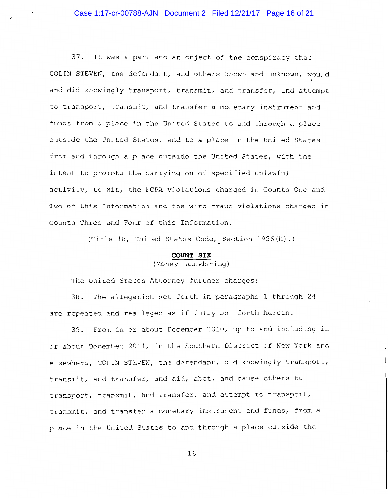37. It was a part and an object of the conspiracy that COLIN STEVEN, the defendant, and others known and unknown, would and did knowingly transport, transmit, and transfer, and attempt to transport, transmit, and transfer a monetary instrument and funds from a place in the United States to and through a place outside the United States, and to a place in the United States from and through a place outside the United States, with the intent to promote the carrying on of specified unlawful activity, to wit, the FCPA violations charged in Counts One and Two of this Information and the wire fraud violations charged in Counts Three and Four of this Information.

(Title 18, United States Code, Section 1956(h).)

## COUNT SIX

## (Money Laundering)

The United States Attorney further charges:

38. The allegation set forth in paragraphs 1 through 24 are repeated and realleged as if fully set forth herein.

39. From in or about December 2010, up to and including in or about December 2011, in the Southern District of New York and elsewhere, COLIN STEVEN, the defendant, did knowingly transport, transmit, and transfer, and aid, abet, and cause others to transport, transmit, and transfer, and attempt to transport, transmit, and transfer a monetary instrument and funds, from a place in the United States to and through a place outside the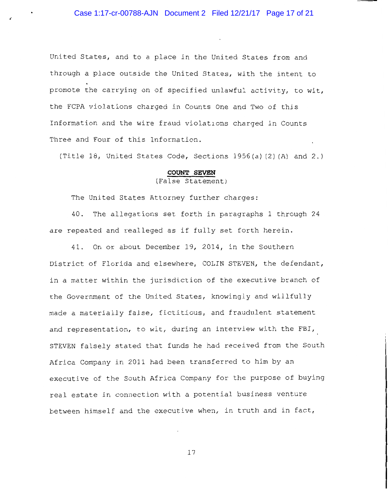United States, and to a place in the United States from and through a place outside the United States, with the intent to promote the carrying on of specified unlawful activity, to wit, the FCPA violations charged in Counts One and Two of this Information and the wire fraud violations charged in Counts Three and Four of this Information.

(Title 18, United States Code, Sections 1956(a)(2)(A) and 2.)

#### COUNT SEVEN

### (False Statement)

The United States Attorney further charges:

40. The allegations set forth in paragraphs 1 through 24 are repeated and realleged as if fully set forth herein.

41. On or about December 19, 2014, in the Southern District of Florida and elsewhere, COLIN STEVEN, the defendant, in a matter within the jurisdiction of the executive branch of the Government of the United States, knowingly and willfully made a materially false, fictitious, and fraudulent statement and representation, to wit, during an interview with the FBI, STEVEN falsely stated that funds he had received from the South Africa Company in 2011 had been transferred to him by an executive of the South Africa Company for the purpose of buying real estate in connection with a potential business venture between himself and the executive when, in truth and in fact,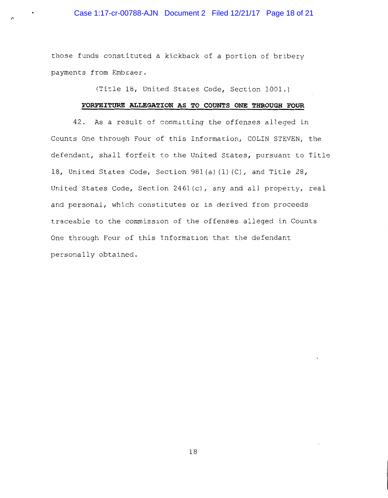## Case 1:17-cr-00788-AJN Document 2 Filed 12/21/17 Page 18 of 21

those funds constituted a kickback of a portion of bribery payments from Embraer.

(Title 18, United States Code, Section 1001.)

## FORFEITURE ALLEGATION AS TO COUNTS ONE THROUGH FOUR

42. As a result of committing the offenses alleged in Counts One through Four of this Information, COLIN STEVEN, the defendant, shall forfeit to the United States, pursuant to Title 18, United States Code, Section 981(a)(1)(C), and Title 28, United States Code, Section 2461(c), any and all property, real and personal, which constitutes or is derived from proceeds traceable to the commission of the offenses alleged in Counts One through Four of this Information that the defendant personally obtained.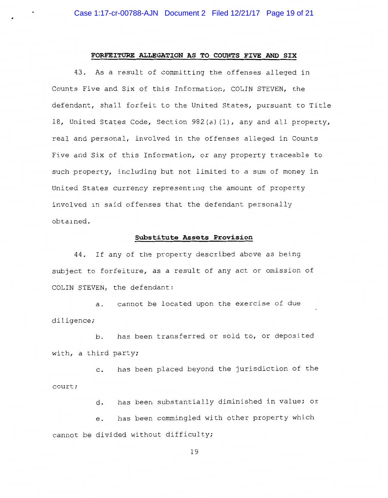### FORFEITURE ALLEGATION AS TO COUNTS FIVE AND SIX

43. As a result of committing the offenses alleged in Counts Five and Six of this Information, COLIN STEVEN, the defendant, shall forfeit to the United States, pursuant to Title 18, United States Code, Section 982(a)(1), any and all property, real and personal, involved in the offenses alleged in Counts Five and Six of this Information, or any property traceable to such property, including but not limited to a sum of money in United States currency representing the amount of property involved in said offenses that the defendant personally obtained.

### Substitute Assets Provision

44. If any of the property described above as being subject to forfeiture, as a result of any act or omission of COLIN STEVEN, the defendant:

a. cannot be located upon the exercise of due diligence;

has been transferred or sold to, or deposited  $b.$ with, a third party;

has been placed beyond the jurisdiction of the  $\overline{C}$ . court;

> has been substantially diminished in value; or  $d_{\star}$

has been commingled with other property which  $e<sub>z</sub>$ cannot be divided without difficulty;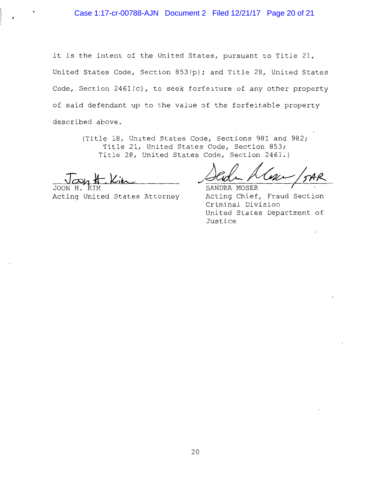it is the intent of the United States, pursuant to Title 21, United States Code, Section 853(p); and Title 28, United States Code, Section 2461(c), to seek forfeiture of any other property of said defendant up to the value of the forfeitable property described above.

> (Title 18, United States Code, Sections 981 and 982; Title 21, United States Code, Section 853; Title 28, United States Code, Section 2461.)

JOON H. Acting United States Attorney

SANDRA MOSER Acting Chief, Fraud Section Criminal Division United States Department of Justice